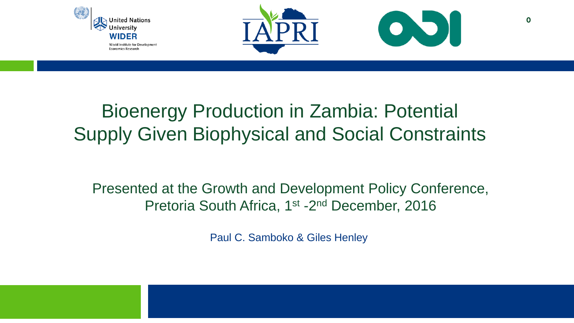



**0**

### Bioenergy Production in Zambia: Potential Supply Given Biophysical and Social Constraints

Presented at the Growth and Development Policy Conference, Pretoria South Africa, 1<sup>st</sup> -2<sup>nd</sup> December, 2016

Paul C. Samboko & Giles Henley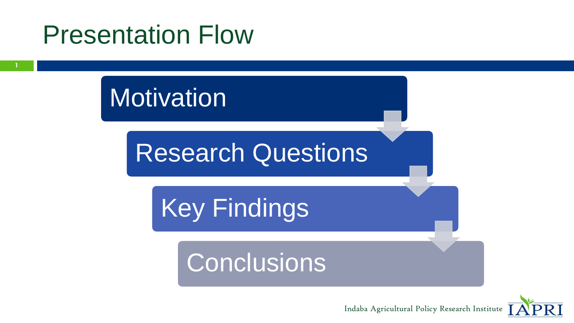# Presentation Flow

**Motivation** 

Research Questions

Key Findings

# **Conclusions**



Indaba Agricultural Policy Research Institute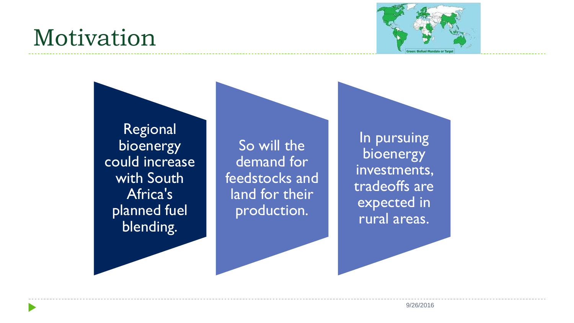# Motivation



Regional bioenergy could increase with South Africa's planned fuel blending.

So will the demand for feedstocks and land for their production.

In pursuing bioenergy investments, tradeoffs are expected in rural areas.

**2** 9/26/2016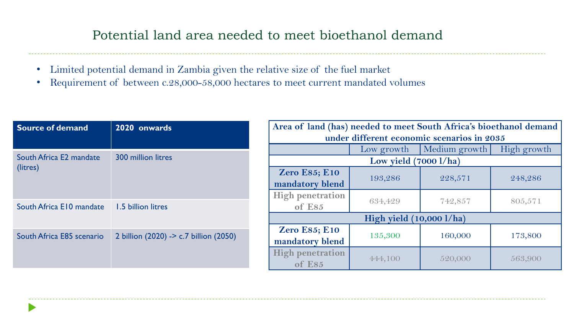#### Potential land area needed to meet bioethanol demand

- Limited potential demand in Zambia given the relative size of the fuel market
- Requirement of between c.28,000-58,000 hectares to meet current mandated volumes

| Source of demand                    | 2020 onwards                           | Area of land (has) needed to meet South Africa's bioethanol demand  <br>under different economic scenarios in 2035 |            |               |             |
|-------------------------------------|----------------------------------------|--------------------------------------------------------------------------------------------------------------------|------------|---------------|-------------|
| South Africa E2 mandate<br>(litres) | <b>300 million litres</b>              |                                                                                                                    | Low growth | Medium growth | High growth |
|                                     |                                        | Low yield $(7000 \frac{\text{1}}{\text{ha}})$                                                                      |            |               |             |
|                                     |                                        | <b>Zero E85; E10</b>                                                                                               | 193,286    | 228,571       | 248,286     |
|                                     |                                        | mandatory blend                                                                                                    |            |               |             |
|                                     |                                        | <b>High penetration</b>                                                                                            | 634,429    | 742,857       | 805,571     |
| South Africa E10 mandate            | 1.5 billion litres                     | of E85                                                                                                             |            |               |             |
|                                     |                                        | High yield $(10,000 \frac{1}{ha})$                                                                                 |            |               |             |
| South Africa E85 scenario           | 2 billion (2020) -> c.7 billion (2050) | <b>Zero E85; E10</b>                                                                                               | 135,300    | 160,000       | 173,800     |
|                                     |                                        | mandatory blend                                                                                                    |            |               |             |
|                                     |                                        | <b>High penetration</b>                                                                                            | 444,100    | 520,000       | 563,900     |
|                                     |                                        | of E85                                                                                                             |            |               |             |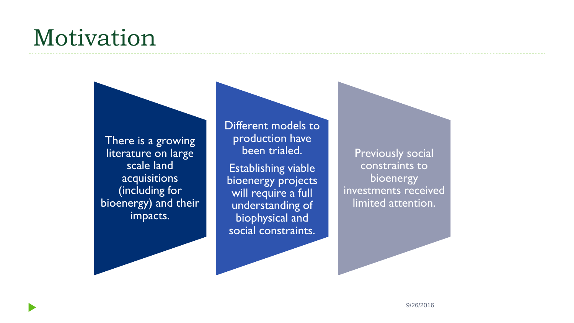# Motivation



Different models to production have been trialed.

Establishing viable bioenergy projects will require a full understanding of biophysical and social constraints.

Previously social constraints to bioenergy investments received limited attention.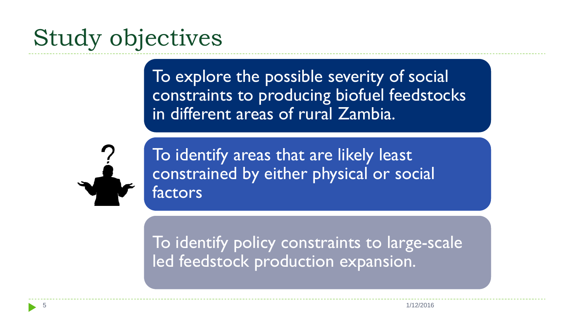# Study objectives

To explore the possible severity of social constraints to producing biofuel feedstocks in different areas of rural Zambia.



To identify areas that are likely least constrained by either physical or social factors

To identify policy constraints to large-scale led feedstock production expansion.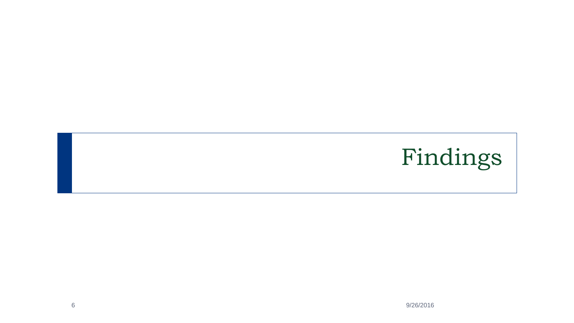# Findings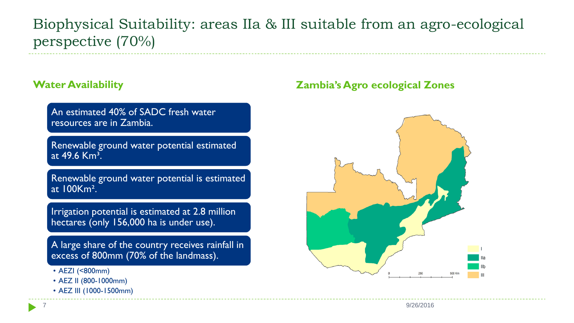#### Biophysical Suitability: areas IIa & III suitable from an agro-ecological perspective (70%)

An estimated 40% of SADC fresh water resources are in Zambia.

Renewable ground water potential estimated at  $49.6$  Km<sup>3</sup>.

Renewable ground water potential is estimated at 100Km².

Irrigation potential is estimated at 2.8 million hectares (only 156,000 ha is under use).

A large share of the country receives rainfall in excess of 800mm (70% of the landmass).

- AEZI (<800mm)
- AEZ II (800-1000mm)
- AEZ III (1000-1500mm)

#### **Water Availability Zambia's Agro ecological Zones**

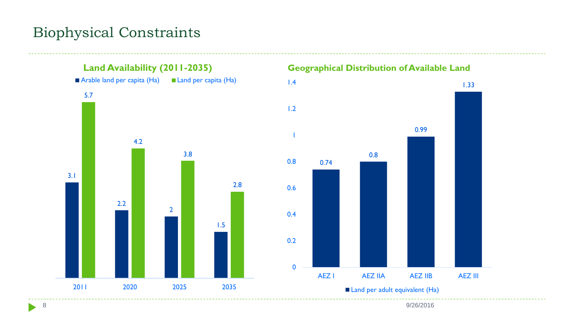#### Biophysical Constraints



8 9/26/2016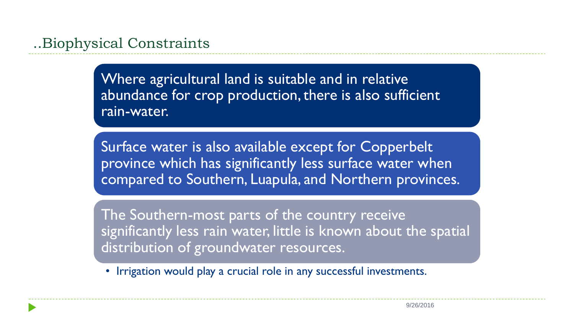Where agricultural land is suitable and in relative abundance for crop production, there is also sufficient rain-water.

Surface water is also available except for Copperbelt province which has significantly less surface water when compared to Southern, Luapula, and Northern provinces.

The Southern-most parts of the country receive significantly less rain water, little is known about the spatial distribution of groundwater resources.

• Irrigation would play a crucial role in any successful investments.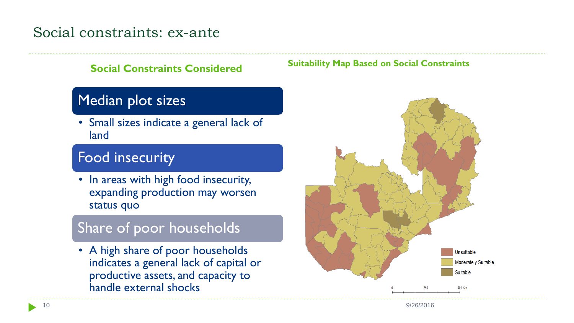#### Social constraints: ex-ante

#### Median plot sizes

• Small sizes indicate a general lack of land

#### Food insecurity

• In areas with high food insecurity, expanding production may worsen status quo

#### Share of poor households

• A high share of poor households indicates a general lack of capital or productive assets, and capacity to handle external shocks

#### **Social Constraints Considered Suitability Map Based on Social Constraints**



10 9/26/2016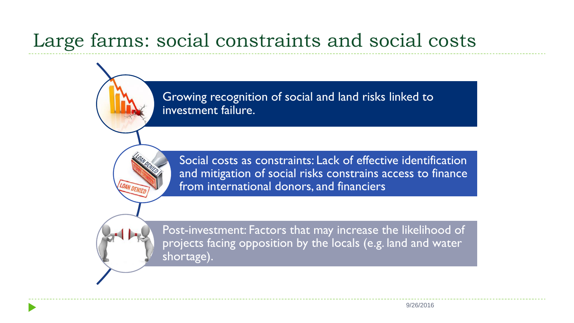### Large farms: social constraints and social costs

Growing recognition of social and land risks linked to investment failure.

Social costs as constraints: Lack of effective identification and mitigation of social risks constrains access to finance from international donors, and financiers

Post-investment: Factors that may increase the likelihood of projects facing opposition by the locals (e.g. land and water shortage).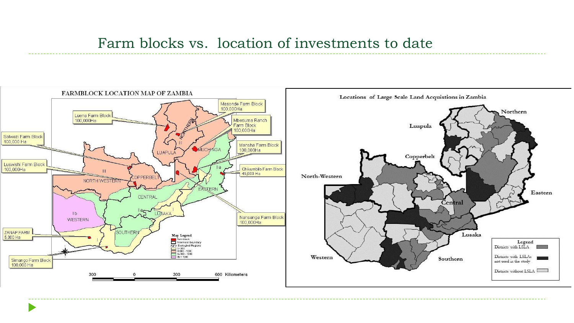#### Farm blocks vs. location of investments to date

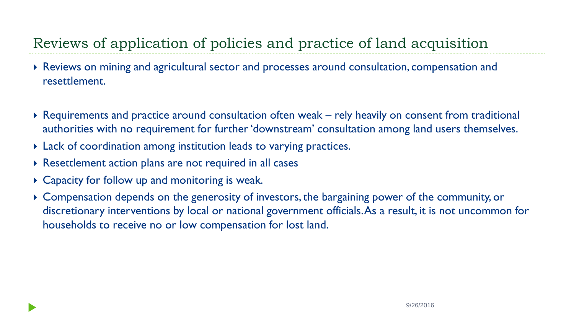#### Reviews of application of policies and practice of land acquisition

- Reviews on mining and agricultural sector and processes around consultation, compensation and resettlement.
- Requirements and practice around consultation often weak rely heavily on consent from traditional authorities with no requirement for further 'downstream' consultation among land users themselves.
- Lack of coordination among institution leads to varying practices.
- Resettlement action plans are not required in all cases
- Capacity for follow up and monitoring is weak.
- Compensation depends on the generosity of investors, the bargaining power of the community, or discretionary interventions by local or national government officials. As a result, it is not uncommon for households to receive no or low compensation for lost land.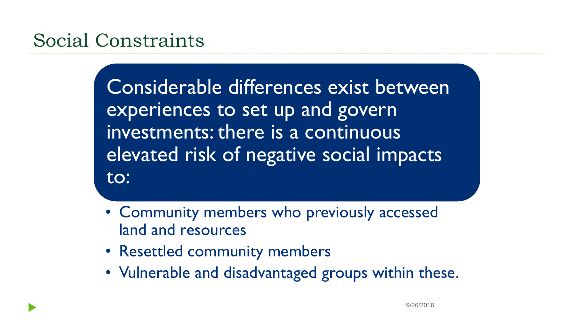Considerable differences exist between experiences to set up and govern investments: there is a continuous elevated risk of negative social impacts to:

- Community members who previously accessed land and resources
- Resettled community members
- Vulnerable and disadvantaged groups within these.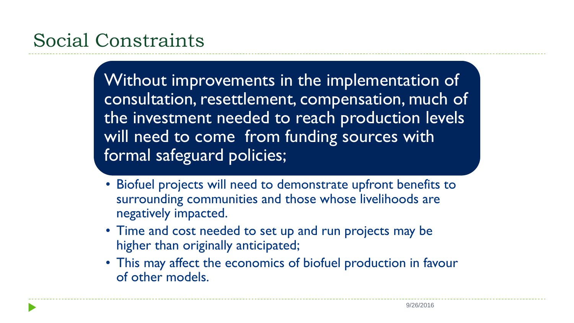Without improvements in the implementation of consultation, resettlement, compensation, much of the investment needed to reach production levels will need to come from funding sources with formal safeguard policies;

- Biofuel projects will need to demonstrate upfront benefits to surrounding communities and those whose livelihoods are negatively impacted.
- Time and cost needed to set up and run projects may be higher than originally anticipated;
- This may affect the economics of biofuel production in favour of other models.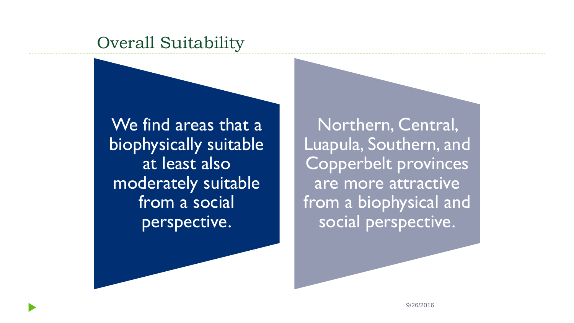### Overall Suitability

We find areas that a biophysically suitable at least also moderately suitable from a social perspective.

Northern, Central, Luapula, Southern, and Copperbelt provinces are more attractive from a biophysical and social perspective.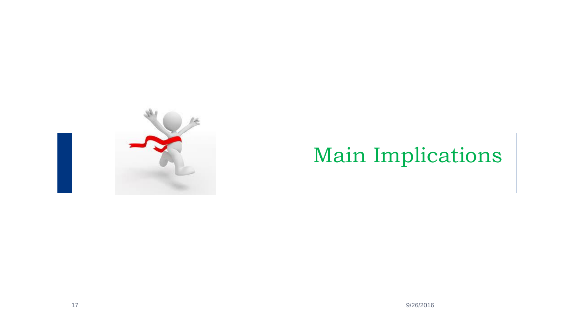

### Main Implications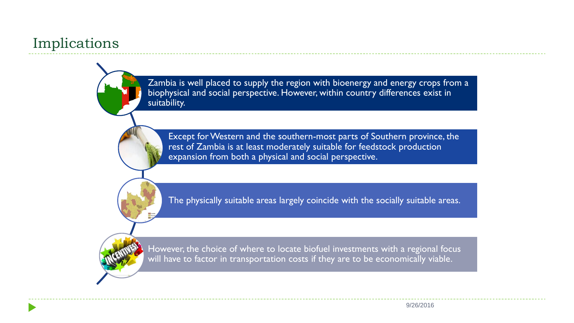#### Implications

Zambia is well placed to supply the region with bioenergy and energy crops from a biophysical and social perspective. However, within country differences exist in suitability.

Except for Western and the southern-most parts of Southern province, the rest of Zambia is at least moderately suitable for feedstock production expansion from both a physical and social perspective.

The physically suitable areas largely coincide with the socially suitable areas.

However, the choice of where to locate biofuel investments with a regional focus will have to factor in transportation costs if they are to be economically viable.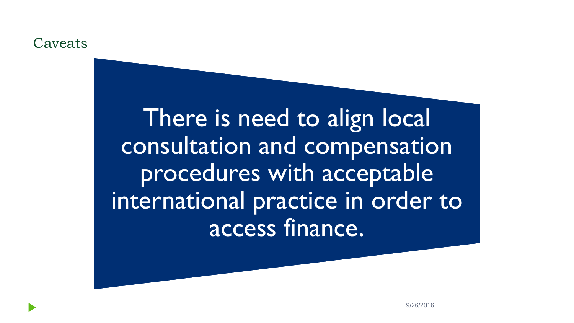#### **Caveats**

There is need to align local consultation and compensation procedures with acceptable international practice in order to access finance.